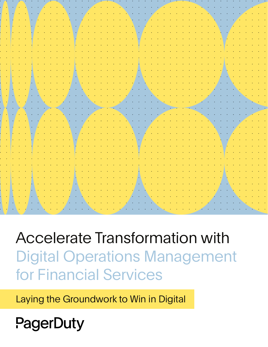Accelerate Transformation with Digital Operations Management for Financial Services

Laying the Groundwork to Win in Digital

PagerDuty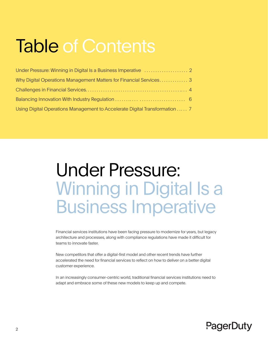## Table of Contents

| Why Digital Operations Management Matters for Financial Services3           |  |
|-----------------------------------------------------------------------------|--|
|                                                                             |  |
|                                                                             |  |
| Using Digital Operations Management to Accelerate Digital Transformation  7 |  |

### Under Pressure: Winning in Digital Is a Business Imperative

Financial services institutions have been facing pressure to modernize for years, but legacy architecture and processes, along with compliance regulations have made it difficult for teams to innovate faster.

New competitors that offer a digital-first model and other recent trends have further accelerated the need for financial services to reflect on how to deliver on a better digital customer experience.

In an increasingly consumer-centric world, traditional financial services institutions need to adapt and embrace some of these new models to keep up and compete.

### PagerDuty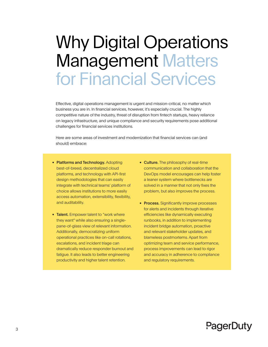### Why Digital Operations Management Matters for Financial Services

Effective, digital operations management is urgent and mission-critical, no matter which business you are in. In financial services, however, it's especially crucial. The highly competitive nature of the industry, threat of disruption from fintech startups, heavy reliance on legacy infrastructure, and unique compliance and security requirements pose additional challenges for financial services institutions.

Here are some areas of investment and modernization that financial services can (and should) embrace:

- Platforms and Technology. Adopting best-of-breed, decentralized cloud platforms, and technology with API-first design methodologies that can easily integrate with technical teams' platform of choice allows institutions to more easily access automation, extensibility, flexibility, and auditability.
- Talent. Empower talent to "work where they want" while also ensuring a singlepane-of-glass view of relevant information. Additionally, democratizing uniform operational practices like on-call rotations, escalations, and incident triage can dramatically reduce responder burnout and fatigue. It also leads to better engineering productivity and higher talent retention.
- Culture. The philosophy of real-time communication and collaboration that the DevOps model encourages can help foster a leaner system where bottlenecks are solved in a manner that not only fixes the problem, but also improves the process.
- Process. Significantly improve processes for alerts and incidents through iterative efficiencies like dynamically executing runbooks, in addition to implementing incident bridge automation, proactive and relevant stakeholder updates, and blameless postmortems. Apart from optimizing team and service performance, process improvements can lead to rigor and accuracy in adherence to compliance and regulatory requirements.

### PagerDuty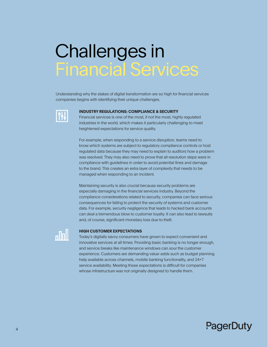### Challenges in Financial Services

Understanding why the stakes of digital transformation are so high for financial services companies begins with identifying their unique challenges.



#### **INDUSTRY REGULATIONS: COMPLIANCE & SECURITY**

Financial services is one of the most, if not the most, highly regulated industries in the world, which makes it particularly challenging to meet heightened expectations for service quality.

For example, when responding to a service disruption, teams need to know which systems are subject to regulatory compliance controls or host regulated data because they may need to explain to auditors how a problem was resolved. They may also need to prove that all resolution steps were in compliance with guidelines in order to avoid potential fines and damage to the brand. This creates an extra layer of complexity that needs to be managed when responding to an incident.

Maintaining security is also crucial because security problems are especially damaging in the financial services industry. Beyond the compliance considerations related to security, companies can face serious consequences for failing to protect the security of systems and customer data. For example, security negligence that leads to hacked bank accounts can deal a tremendous blow to customer loyalty. It can also lead to lawsuits and, of course, significant monetary loss due to theft.



#### **HIGH CUSTOMER EXPECTATIONS**

Today's digitally savvy consumers have grown to expect convenient and innovative services at all times. Providing basic banking is no longer enough, and service breaks like maintenance windows can sour the customer experience. Customers are demanding value-adds such as budget planning help available across channels, mobile banking functionality, and 24×7 service availability. Meeting these expectations is difficult for companies whose infrastructure was not originally designed to handle them.

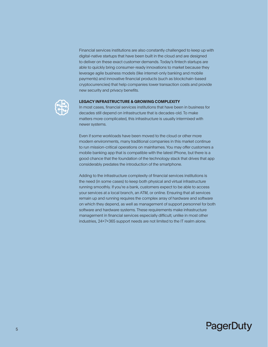Financial services institutions are also constantly challenged to keep up with digital-native startups that have been built in the cloud and are designed to deliver on these exact customer demands. Today's fintech startups are able to quickly bring consumer-ready innovations to market because they leverage agile business models (like internet-only banking and mobile payments) and innovative financial products (such as blockchain-based cryptocurrencies) that help companies lower transaction costs and provide new security and privacy benefits.



#### **LEGACY INFRASTRUCTURE & GROWING COMPLEXITY**

In most cases, financial services institutions that have been in business for decades still depend on infrastructure that is decades-old. To make matters more complicated, this infrastructure is usually intermixed with newer systems.

Even if some workloads have been moved to the cloud or other more modern environments, many traditional companies in this market continue to run mission-critical operations on mainframes. You may offer customers a mobile banking app that is compatible with the latest iPhone, but there is a good chance that the foundation of the technology stack that drives that app considerably predates the introduction of the smartphone.

Adding to the infrastructure complexity of financial services institutions is the need (in some cases) to keep both physical and virtual infrastructure running smoothly. If you're a bank, customers expect to be able to access your services at a local branch, an ATM, or online. Ensuring that all services remain up and running requires the complex array of hardware and software on which they depend, as well as management of support personnel for both software and hardware systems. These requirements make infrastructure management in financial services especially difficult; unlike in most other industries, 24x7x365 support needs are not limited to the IT realm alone.

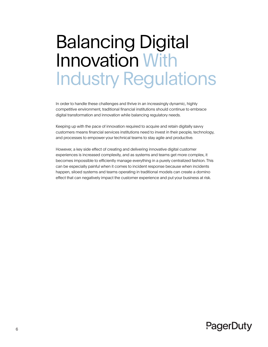## Balancing Digital Innovation With Industry Regulations

In order to handle these challenges and thrive in an increasingly dynamic, highly competitive environment, traditional financial institutions should continue to embrace digital transformation and innovation while balancing regulatory needs.

Keeping up with the pace of innovation required to acquire and retain digitally savvy customers means financial services institutions need to invest in their people, technology, and processes to empower your technical teams to stay agile and productive.

However, a key side effect of creating and delivering innovative digital customer experiences is increased complexity, and as systems and teams get more complex, it becomes impossible to efficiently manage everything in a purely centralized fashion. This can be especially painful when it comes to incident response because when incidents happen, siloed systems and teams operating in traditional models can create a domino effect that can negatively impact the customer experience and put your business at risk.

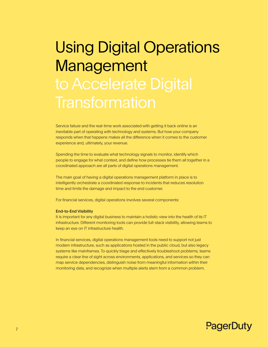# Using Digital Operations Management **Transformation**

Service failure and the real-time work associated with getting it back online is an inevitable part of operating with technology and systems. But how your company responds when that happens makes all the difference when it comes to the customer experience and, ultimately, your revenue.

Spending the time to evaluate what technology signals to monitor, identify which people to engage for what context, and define how processes tie them all together in a coordinated approach are all parts of digital operations management.

The main goal of having a digital operations management platform in place is to intelligently orchestrate a coordinated response to incidents that reduces resolution time and limits the damage and impact to the end customer.

For financial services, digital operations involves several components:

#### End-to-End Visibility

It is important for any digital business to maintain a holistic view into the health of its IT infrastructure. Different monitoring tools can provide full-stack visibility, allowing teams to keep an eye on IT infrastructure health.

In financial services, digital operations management tools need to support not just modern infrastructure, such as applications hosted in the public cloud, but also legacy systems like mainframes. To quickly triage and effectively troubleshoot problems, teams require a clear line of sight across environments, applications, and services so they can map service dependencies, distinguish noise from meaningful information within their monitoring data, and recognize when multiple alerts stem from a common problem.

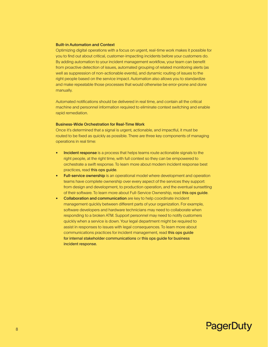#### Built-in Automation and Context

Optimizing digital operations with a focus on urgent, real-time work makes it possible for you to find out about critical, customer-impacting incidents before your customers do. By adding automation to your incident management workflow, your team can benefit from proactive detection of issues, automated grouping of related monitoring alerts (as well as suppression of non-actionable events), and dynamic routing of issues to the right people based on the service impact. Automation also allows you to standardize and make repeatable those processes that would otherwise be error-prone and done manually.

Automated notifications should be delivered in real time, and contain all the critical machine and personnel information required to eliminate context switching and enable rapid remediation.

#### Business-Wide Orchestration for Real-Time Work

Once it's determined that a signal is urgent, actionable, and impactful, it must be routed to be fixed as quickly as possible. There are three key components of managing operations in real time:

- Incident response is a process that helps teams route actionable signals to the right people, at the right time, with full context so they can be empowered to orchestrate a swift response. To learn more about modern incident response best practices, read [this ops guide](https://response.pagerduty.com/).
- **Full-service ownership** is an operational model where development and operation teams have complete ownership over every aspect of the services they support: from design and development, to production operation, and the eventual sunsetting of their software. To learn more about Full-Service Ownership, read [this ops guide](http://ownership.pagerduty.com).
- Collaboration and communication are key to help coordinate incident management quickly between different parts of your organization. For example, software developers and hardware technicians may need to collaborate when responding to a broken ATM. Support personnel may need to notify customers quickly when a service is down. Your legal department might be required to assist in responses to issues with legal consequences. To learn more about communications practices for incident management, read t[his ops guide](https://stakeholders.pagerduty.com/)  [for internal stakeholder communications](https://stakeholders.pagerduty.com/) or t[his ops guide for business](https://business-response.pagerduty.com/)  [incident response.](https://business-response.pagerduty.com/)